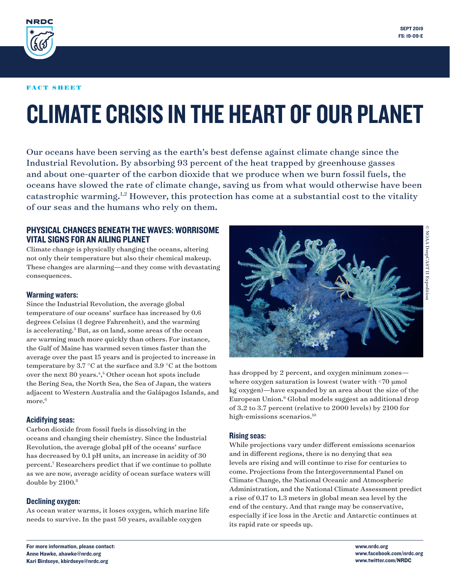<span id="page-0-0"></span>

#### FACT SHEET

# CLIMATE CRISIS IN THE HEART OF OUR PLANET

Our oceans have been serving as the earth's best defense against climate change since the Industrial Revolution. By absorbing 93 percent of the heat trapped by greenhouse gasses and about one-quarter of the carbon dioxide that we produce when we burn fossil fuels, the oceans have slowed the rate of climate change, saving us from what would otherwise have been catastrophic warming.[1,2](#page-3-0) However, this protection has come at a substantial cost to the vitality of our seas and the humans who rely on them.

# PHYSICAL CHANGES BENEATH THE WAVES: WORRISOME VITAL SIGNS FOR AN AILING PLANET

Climate change is physically changing the oceans, altering not only their temperature but also their chemical makeup. These changes are alarming—and they come with devastating consequences.

#### Warming waters:

Since the Industrial Revolution, the average global temperature of our oceans' surface has increased by 0.6 degrees Celsius (1 degree Fahrenheit), and the warming is accelerating.<sup>3</sup> But, as on land, some areas of the ocean are warming much more quickly than others. For instance, the Gulf of Maine has warmed seven times faster than the average over the past 15 years and is projected to increase in temperature by 3.7 °C at the surface and 3.9 °C at the bottom over the next 80 years.<sup>[4](#page-3-0),[5](#page-3-0)</sup> Other ocean hot spots include the Bering Sea, the North Sea, the Sea of Japan, the waters adjacent to Western Australia and the Galápagos Islands, and more.<sup>[6](#page-3-0)</sup>

#### Acidifying seas:

Carbon dioxide from fossil fuels is dissolving in the oceans and changing their chemistry. Since the Industrial Revolution, the average global pH of the oceans' surface has decreased by 0.1 pH units, an increase in acidity of 30 percent[.7](#page-3-0) Researchers predict that if we continue to pollute as we are now, average acidity of ocean surface waters will double by 2100[.8](#page-3-0)

#### Declining oxygen:

As ocean water warms, it loses oxygen, which marine life needs to survive. In the past 50 years, available oxygen



has dropped by 2 percent, and oxygen minimum zones where oxygen saturation is lowest (water with <70 μmol kg− oxygen)—have expanded by an area about the size of the European Union.[9](#page-3-0) Global models suggest an additional drop of 3.2 to 3.7 percent (relative to 2000 levels) by 2100 for high-emissions scenarios.<sup>[10](#page-3-0)</sup>

#### Rising seas:

While projections vary under different emissions scenarios and in different regions, there is no denying that sea levels are rising and will continue to rise for centuries to come. Projections from the Intergovernmental Panel on Climate Change, the National Oceanic and Atmospheric Administration, and the National Climate Assessment predict a rise of 0.17 to 1.3 meters in global mean sea level by the end of the century. And that range may be conservative, especially if ice loss in the Arctic and Antarctic continues at its rapid rate or speeds up.

© NOAA DeepCAST II Expedition

For more information, please contact: Anne Hawke, ahawke@nrdc.org Kari Birdseye, kbirdseye@nrdc.org

www.nrdc.org www.facebook.com/nrdc.org www.twitter.com/NRDC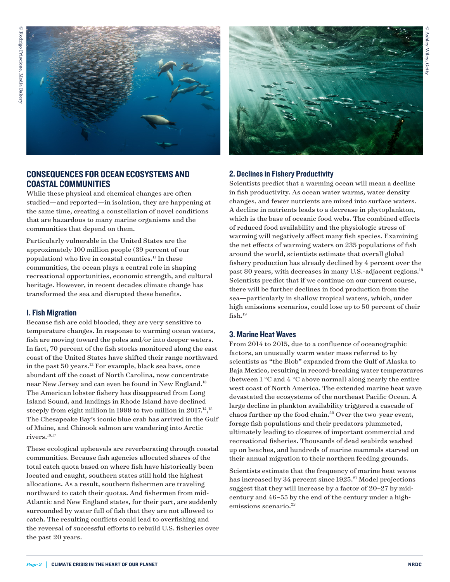<span id="page-1-0"></span>

# CONSEQUENCES FOR OCEAN ECOSYSTEMS AND COASTAL COMMUNITIES

While these physical and chemical changes are often studied—and reported—in isolation, they are happening at the same time, creating a constellation of novel conditions that are hazardous to many marine organisms and the communities that depend on them.

Particularly vulnerable in the United States are the approximately 100 million people (39 percent of our population) who live in coastal counties.<sup>[11](#page-3-0)</sup> In these communities, the ocean plays a central role in shaping recreational opportunities, economic strength, and cultural heritage. However, in recent decades climate change has transformed the sea and disrupted these benefits.

#### 1. Fish Migration

Because fish are cold blooded, they are very sensitive to temperature changes. In response to warming ocean waters, fish are moving toward the poles and/or into deeper waters. In fact, 70 percent of the fish stocks monitored along the east coast of the United States have shifted their range northward in the past 50 years.[12](#page-3-0) For example, black sea bass, once abundant off the coast of North Carolina, now concentrate near New Jersey and can even be found in New England.[13](#page-3-0) The American lobster fishery has disappeared from Long Island Sound, and landings in Rhode Island have declined steeply from eight million in 1999 to two million in 2017.<sup>[14](#page-3-0)</sup>,<sup>[15](#page-3-0)</sup> The Chesapeake Bay's iconic blue crab has arrived in the Gulf of Maine, and Chinook salmon are wandering into Arctic rivers[.16,17](#page-3-0)

These ecological upheavals are reverberating through coastal communities. Because fish agencies allocated shares of the total catch quota based on where fish have historically been located and caught, southern states still hold the highest allocations. As a result, southern fishermen are traveling northward to catch their quotas. And fishermen from mid-Atlantic and New England states, for their part, are suddenly surrounded by water full of fish that they are not allowed to catch. The resulting conflicts could lead to overfishing and the reversal of successful efforts to rebuild U.S. fisheries over the past 20 years.



#### 2. Declines in Fishery Productivity

Scientists predict that a warming ocean will mean a decline in fish productivity. As ocean water warms, water density changes, and fewer nutrients are mixed into surface waters. A decline in nutrients leads to a decrease in phytoplankton, which is the base of oceanic food webs. The combined effects of reduced food availability and the physiologic stress of warming will negatively affect many fish species. Examining the net effects of warming waters on 235 populations of fish around the world, scientists estimate that overall global fishery production has already declined by 4 percent over the past 80 years, with decreases in many U.S.-adjacent regions.<sup>18</sup> Scientists predict that if we continue on our current course, there will be further declines in food production from the sea—particularly in shallow tropical waters, which, under high emissions scenarios, could lose up to 50 percent of their fish.<sup>19</sup>

#### 3. Marine Heat Waves

From 2014 to 2015, due to a confluence of oceanographic factors, an unusually warm water mass referred to by scientists as "the Blob" expanded from the Gulf of Alaska to Baja Mexico, resulting in record-breaking water temperatures (between  $1^{\circ}$ C and  $4^{\circ}$ C above normal) along nearly the entire west coast of North America. The extended marine heat wave devastated the ecosystems of the northeast Pacific Ocean. A large decline in plankton availability triggered a cascade of chaos further up the food chain[.20](#page-3-0) Over the two-year event, forage fish populations and their predators plummeted, ultimately leading to closures of important commercial and recreational fisheries. Thousands of dead seabirds washed up on beaches, and hundreds of marine mammals starved on their annual migration to their northern feeding grounds.

Scientists estimate that the frequency of marine heat waves has increased by 34 percent since 1925.<sup>21</sup> Model projections suggest that they will increase by a factor of 20–27 by midcentury and 46–55 by the end of the century under a high-emissions scenario.<sup>[22](#page-3-0)</sup>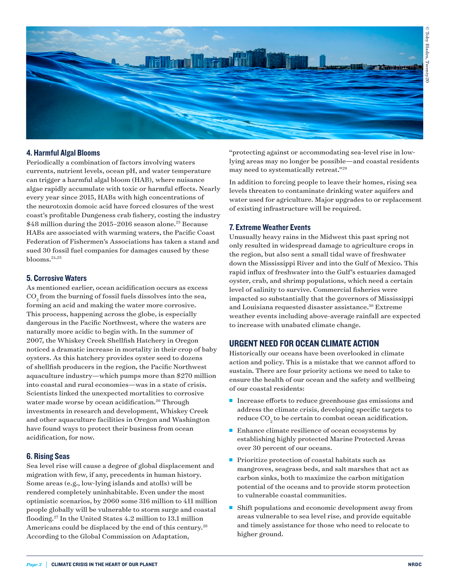<span id="page-2-0"></span>

### 4. Harmful Algal Blooms

Periodically a combination of factors involving waters currents, nutrient levels, ocean pH, and water temperature can trigger a harmful algal bloom (HAB), where nuisance algae rapidly accumulate with toxic or harmful effects. Nearly every year since 2015, HABs with high concentrations of the neurotoxin domoic acid have forced closures of the west coast's profitable Dungeness crab fishery, costing the industry \$48 million during the 2015-2016 season alone.<sup>23</sup> Because HABs are associated with warming waters, the Pacific Coast Federation of Fishermen's Associations has taken a stand and sued 30 fossil fuel companies for damages caused by these blooms.[24,25](#page-3-0)

### 5. Corrosive Waters

As mentioned earlier, ocean acidification occurs as excess CO<sub>2</sub> from the burning of fossil fuels dissolves into the sea, forming an acid and making the water more corrosive. This process, happening across the globe, is especially dangerous in the Pacific Northwest, where the waters are naturally more acidic to begin with. In the summer of 2007, the Whiskey Creek Shellfish Hatchery in Oregon noticed a dramatic increase in mortality in their crop of baby oysters. As this hatchery provides oyster seed to dozens of shellfish producers in the region, the Pacific Northwest aquaculture industry—which pumps more than \$270 million into coastal and rural economies—was in a state of crisis. Scientists linked the unexpected mortalities to corrosive water made worse by ocean acidification.<sup>[26](#page-3-0)</sup> Through investments in research and development, Whiskey Creek and other aquaculture facilities in Oregon and Washington have found ways to protect their business from ocean acidification, for now.

#### 6. Rising Seas

Sea level rise will cause a degree of global displacement and migration with few, if any, precedents in human history. Some areas (e.g., low-lying islands and atolls) will be rendered completely uninhabitable. Even under the most optimistic scenarios, by 2060 some 316 million to 411 million people globally will be vulnerable to storm surge and coastal flooding[.27](#page-3-0) In the United States 4.2 million to 13.1 million Americans could be displaced by the end of this century.<sup>28</sup> According to the Global Commission on Adaptation,

"protecting against or accommodating sea-level rise in lowlying areas may no longer be possible—and coastal residents may need to systematically retreat."[29](#page-3-0)

In addition to forcing people to leave their homes, rising sea levels threaten to contaminate drinking water aquifers and water used for agriculture. Major upgrades to or replacement of existing infrastructure will be required.

#### 7. Extreme Weather Events

Unusually heavy rains in the Midwest this past spring not only resulted in widespread damage to agriculture crops in the region, but also sent a small tidal wave of freshwater down the Mississippi River and into the Gulf of Mexico. This rapid influx of freshwater into the Gulf's estuaries damaged oyster, crab, and shrimp populations, which need a certain level of salinity to survive. Commercial fisheries were impacted so substantially that the governors of Mississippi and Louisiana requested disaster assistance.<sup>[30](#page-3-0)</sup> Extreme weather events including above-average rainfall are expected to increase with unabated climate change.

## URGENT NEED FOR OCEAN CLIMATE ACTION

Historically our oceans have been overlooked in climate action and policy. This is a mistake that we cannot afford to sustain. There are four priority actions we need to take to ensure the health of our ocean and the safety and wellbeing of our coastal residents:

- **n** Increase efforts to reduce greenhouse gas emissions and address the climate crisis, developing specific targets to reduce  $CO<sub>2</sub>$  to be certain to combat ocean acidification.
- $\blacksquare$  Enhance climate resilience of ocean ecosystems by establishing highly protected Marine Protected Areas over 30 percent of our oceans.
- $\blacksquare$  Prioritize protection of coastal habitats such as mangroves, seagrass beds, and salt marshes that act as carbon sinks, both to maximize the carbon mitigation potential of the oceans and to provide storm protection to vulnerable coastal communities.
- $\blacksquare$  Shift populations and economic development away from areas vulnerable to sea level rise, and provide equitable and timely assistance for those who need to relocate to higher ground.